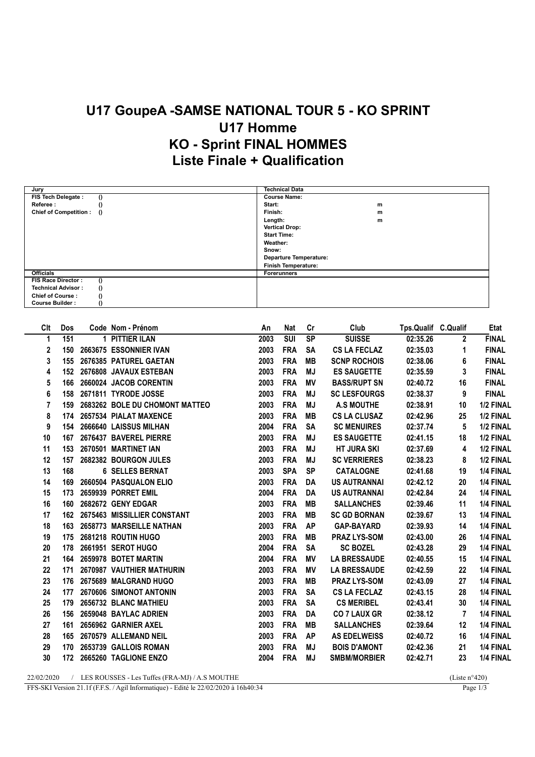## U17 GoupeA -SAMSE NATIONAL TOUR 5 - KO SPRINT U17 Homme KO - Sprint FINAL HOMMES Liste Finale + Qualification

| Jury                                  | <b>Technical Data</b>      |
|---------------------------------------|----------------------------|
| FIS Tech Delegate :<br>$\theta$       | <b>Course Name:</b>        |
| Referee:<br>$\theta$                  | Start:<br>m                |
| Chief of Competition : ()             | Finish:<br>m               |
|                                       | Length:<br>m               |
|                                       | <b>Vertical Drop:</b>      |
|                                       | <b>Start Time:</b>         |
|                                       | Weather:                   |
|                                       | Snow:                      |
|                                       | Departure Temperature:     |
|                                       | <b>Finish Temperature:</b> |
| <b>Officials</b>                      | <b>Forerunners</b>         |
| FIS Race Director:                    |                            |
| <b>Technical Advisor:</b><br>$\theta$ |                            |
| <b>Chief of Course:</b>               |                            |
| <b>Course Builder:</b>                |                            |

| Clt            | Dos | Code Nom - Prénom              | An   | Nat                     | cr        | Club                | Tps.Qualif C.Qualif |                | Etat         |
|----------------|-----|--------------------------------|------|-------------------------|-----------|---------------------|---------------------|----------------|--------------|
| 1              | 151 | 1 PITTIER ILAN                 | 2003 | $\overline{\text{SUI}}$ | <b>SP</b> | <b>SUISSE</b>       | 02:35.26            | $\mathbf{2}$   | <b>FINAL</b> |
| $\mathbf{2}$   | 150 | 2663675 ESSONNIER IVAN         | 2003 | <b>FRA</b>              | <b>SA</b> | <b>CS LA FECLAZ</b> | 02:35.03            | 1              | <b>FINAL</b> |
| 3              | 155 | 2676385 PATUREL GAETAN         | 2003 | <b>FRA</b>              | <b>MB</b> | <b>SCNP ROCHOIS</b> | 02:38.06            | 6              | <b>FINAL</b> |
| 4              | 152 | 2676808 JAVAUX ESTEBAN         | 2003 | <b>FRA</b>              | <b>MJ</b> | <b>ES SAUGETTE</b>  | 02:35.59            | 3              | <b>FINAL</b> |
| 5              | 166 | 2660024 JACOB CORENTIN         | 2003 | <b>FRA</b>              | <b>MV</b> | <b>BASS/RUPT SN</b> | 02:40.72            | 16             | <b>FINAL</b> |
| 6              | 158 | 2671811 TYRODE JOSSE           | 2003 | <b>FRA</b>              | MJ        | <b>SC LESFOURGS</b> | 02:38.37            | 9              | <b>FINAL</b> |
| $\overline{7}$ | 159 | 2683262 BOLE DU CHOMONT MATTEO | 2003 | <b>FRA</b>              | <b>MJ</b> | <b>A.S MOUTHE</b>   | 02:38.91            | 10             | 1/2 FINAL    |
| 8              | 174 | 2657534 PIALAT MAXENCE         | 2003 | <b>FRA</b>              | MВ        | <b>CS LA CLUSAZ</b> | 02:42.96            | 25             | 1/2 FINAL    |
| 9              | 154 | 2666640 LAISSUS MILHAN         | 2004 | <b>FRA</b>              | <b>SA</b> | <b>SC MENUIRES</b>  | 02:37.74            | 5              | 1/2 FINAL    |
| 10             | 167 | 2676437 BAVEREL PIERRE         | 2003 | <b>FRA</b>              | <b>MJ</b> | <b>ES SAUGETTE</b>  | 02:41.15            | 18             | 1/2 FINAL    |
| 11             | 153 | 2670501 MARTINET IAN           | 2003 | <b>FRA</b>              | <b>MJ</b> | <b>HT JURA SKI</b>  | 02:37.69            | 4              | 1/2 FINAL    |
| 12             | 157 | 2682382 BOURGON JULES          | 2003 | <b>FRA</b>              | <b>MJ</b> | <b>SC VERRIERES</b> | 02:38.23            | 8              | 1/2 FINAL    |
| 13             | 168 | <b>6 SELLES BERNAT</b>         | 2003 | <b>SPA</b>              | <b>SP</b> | <b>CATALOGNE</b>    | 02:41.68            | 19             | 1/4 FINAL    |
| 14             | 169 | 2660504 PASQUALON ELIO         | 2003 | <b>FRA</b>              | DA        | <b>US AUTRANNAI</b> | 02:42.12            | 20             | 1/4 FINAL    |
| 15             | 173 | 2659939 PORRET EMIL            | 2004 | <b>FRA</b>              | DA        | <b>US AUTRANNAI</b> | 02:42.84            | 24             | 1/4 FINAL    |
| 16             | 160 | 2682672 GENY EDGAR             | 2003 | <b>FRA</b>              | MВ        | <b>SALLANCHES</b>   | 02:39.46            | 11             | 1/4 FINAL    |
| 17             | 162 | 2675463 MISSILLIER CONSTANT    | 2003 | <b>FRA</b>              | <b>MB</b> | <b>SC GD BORNAN</b> | 02:39.67            | 13             | 1/4 FINAL    |
| 18             | 163 | 2658773 MARSEILLE NATHAN       | 2003 | <b>FRA</b>              | <b>AP</b> | <b>GAP-BAYARD</b>   | 02:39.93            | 14             | 1/4 FINAL    |
| 19             |     | 175 2681218 ROUTIN HUGO        | 2003 | <b>FRA</b>              | <b>MB</b> | <b>PRAZ LYS-SOM</b> | 02:43.00            | 26             | 1/4 FINAL    |
| 20             | 178 | 2661951 SEROT HUGO             | 2004 | <b>FRA</b>              | <b>SA</b> | <b>SC BOZEL</b>     | 02:43.28            | 29             | 1/4 FINAL    |
| 21             | 164 | 2659978 BOTET MARTIN           | 2004 | <b>FRA</b>              | ΜV        | <b>LA BRESSAUDE</b> | 02:40.55            | 15             | 1/4 FINAL    |
| 22             | 171 | 2670987 VAUTHIER MATHURIN      | 2003 | <b>FRA</b>              | <b>MV</b> | <b>LA BRESSAUDE</b> | 02:42.59            | 22             | 1/4 FINAL    |
| 23             | 176 | 2675689 MALGRAND HUGO          | 2003 | <b>FRA</b>              | MВ        | <b>PRAZ LYS-SOM</b> | 02:43.09            | 27             | 1/4 FINAL    |
| 24             | 177 | 2670606 SIMONOT ANTONIN        | 2003 | <b>FRA</b>              | <b>SA</b> | <b>CS LA FECLAZ</b> | 02:43.15            | 28             | 1/4 FINAL    |
| 25             | 179 | 2656732 BLANC MATHIEU          | 2003 | <b>FRA</b>              | <b>SA</b> | <b>CS MERIBEL</b>   | 02:43.41            | 30             | 1/4 FINAL    |
| 26             | 156 | 2659048 BAYLAC ADRIEN          | 2003 | <b>FRA</b>              | <b>DA</b> | <b>CO 7 LAUX GR</b> | 02:38.12            | $\overline{7}$ | 1/4 FINAL    |
| 27             | 161 | 2656962 GARNIER AXEL           | 2003 | <b>FRA</b>              | MВ        | <b>SALLANCHES</b>   | 02:39.64            | 12             | 1/4 FINAL    |
| 28             | 165 | 2670579 ALLEMAND NEIL          | 2003 | <b>FRA</b>              | <b>AP</b> | <b>AS EDELWEISS</b> | 02:40.72            | 16             | 1/4 FINAL    |
| 29             | 170 | 2653739 GALLOIS ROMAN          | 2003 | <b>FRA</b>              | MJ        | <b>BOIS D'AMONT</b> | 02:42.36            | 21             | 1/4 FINAL    |
| 30             | 172 | 2665260 TAGLIONE ENZO          | 2004 | <b>FRA</b>              | <b>MJ</b> | <b>SMBM/MORBIER</b> | 02:42.71            | 23             | 1/4 FINAL    |
|                |     |                                |      |                         |           |                     |                     |                |              |

22/02/2020 / LES ROUSSES - Les Tuffes (FRA-MJ) / A.S MOUTHE (Liste n°420)<br>FFS-SKI Version 21.1f (F.F.S. / Agil Informatique) - Edité le 22/02/2020 à 16h40:34 Page 1/3 FFS-SKI Version 21.1f (F.F.S. / Agil Informatique) - Edité le 22/02/2020 à 16h40:34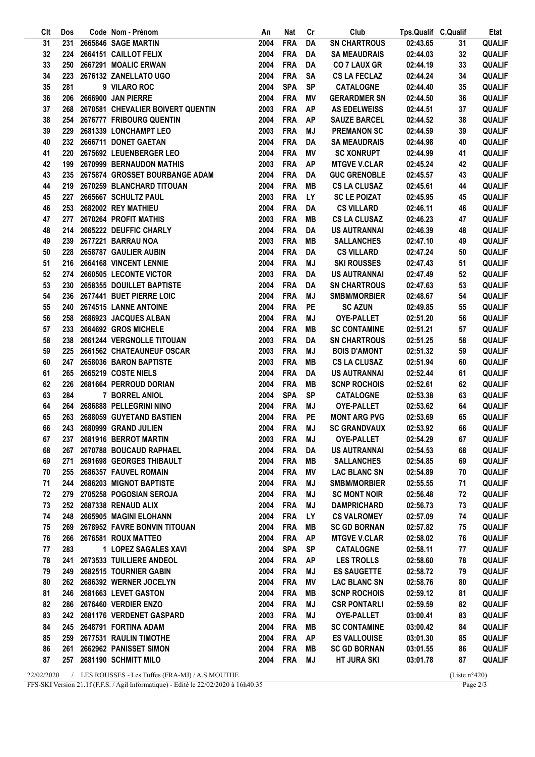| Clt        | Dos | Code Nom - Prénom                                | An   | Nat         | Cr        | Club                | Tps.Qualif C.Qualif |                         | Etat          |
|------------|-----|--------------------------------------------------|------|-------------|-----------|---------------------|---------------------|-------------------------|---------------|
| 31         | 231 | 2665846 SAGE MARTIN                              | 2004 | <b>FRA</b>  | DA        | <b>SN CHARTROUS</b> | 02:43.65            | 31                      | <b>QUALIF</b> |
| 32         | 224 | 2664151 CAILLOT FELIX                            | 2004 | <b>FRA</b>  | DA        | <b>SA MEAUDRAIS</b> | 02:44.03            | 32                      | <b>QUALIF</b> |
| 33         | 250 | 2667291 MOALIC ERWAN                             | 2004 | <b>FRA</b>  | DA        | <b>CO 7 LAUX GR</b> | 02:44.19            | 33                      | <b>QUALIF</b> |
| 34         | 223 | 2676132 ZANELLATO UGO                            | 2004 | <b>FRA</b>  | <b>SA</b> | <b>CS LA FECLAZ</b> | 02:44.24            | 34                      | <b>QUALIF</b> |
| 35         | 281 | 9 VILARO ROC                                     | 2004 | <b>SPA</b>  | <b>SP</b> | <b>CATALOGNE</b>    | 02:44.40            | 35                      | <b>QUALIF</b> |
| 36         | 206 | 2666900 JAN PIERRE                               | 2004 | <b>FRA</b>  | ΜV        | <b>GERARDMER SN</b> | 02:44.50            | 36                      | <b>QUALIF</b> |
| 37         | 268 | 2670581 CHEVALIER BOIVERT QUENTIN                | 2003 | <b>FRA</b>  | <b>AP</b> | <b>AS EDELWEISS</b> | 02:44.51            | 37                      | <b>QUALIF</b> |
| 38         |     | 254 2676777 FRIBOURG QUENTIN                     | 2004 | <b>FRA</b>  | <b>AP</b> | <b>SAUZE BARCEL</b> | 02:44.52            | 38                      | QUALIF        |
| 39         | 229 | 2681339 LONCHAMPT LEO                            | 2003 | <b>FRA</b>  | MJ        | <b>PREMANON SC</b>  | 02:44.59            | 39                      | <b>QUALIF</b> |
| 40         |     | 232 2666711 DONET GAETAN                         | 2004 | <b>FRA</b>  | DA        | <b>SA MEAUDRAIS</b> | 02:44.98            | 40                      | <b>QUALIF</b> |
| 41         | 220 | 2675692 LEUENBERGER LEO                          | 2004 | <b>FRA</b>  | ΜV        | <b>SC XONRUPT</b>   | 02:44.99            | 41                      | <b>QUALIF</b> |
| 42         | 199 | 2670999 BERNAUDON MATHIS                         | 2003 | <b>FRA</b>  | <b>AP</b> | <b>MTGVE V.CLAR</b> | 02:45.24            | 42                      | <b>QUALIF</b> |
| 43         | 235 | 2675874 GROSSET BOURBANGE ADAM                   | 2004 | <b>FRA</b>  | DA        | <b>GUC GRENOBLE</b> | 02:45.57            | 43                      | <b>QUALIF</b> |
| 44         | 219 | 2670259 BLANCHARD TITOUAN                        | 2004 | <b>FRA</b>  | MВ        | <b>CS LA CLUSAZ</b> | 02:45.61            | 44                      | <b>QUALIF</b> |
| 45         | 227 | 2665667 SCHULTZ PAUL                             | 2003 | <b>FRA</b>  | <b>LY</b> | <b>SC LE POIZAT</b> | 02:45.95            | 45                      | <b>QUALIF</b> |
| 46         |     | 253 2682002 REY MATHIEU                          | 2004 | <b>FRA</b>  |           | <b>CS VILLARD</b>   |                     |                         | <b>QUALIF</b> |
|            |     |                                                  |      |             | DA        |                     | 02:46.11            | 46                      |               |
| 47         | 277 | 2670264 PROFIT MATHIS                            | 2003 | <b>FRA</b>  | MВ        | <b>CS LA CLUSAZ</b> | 02:46.23            | 47                      | <b>QUALIF</b> |
| 48         |     | 214 2665222 DEUFFIC CHARLY                       | 2004 | <b>FRA</b>  | DA        | <b>US AUTRANNAI</b> | 02:46.39            | 48                      | <b>QUALIF</b> |
| 49         |     | 239 2677221 BARRAU NOA                           | 2003 | <b>FRA</b>  | MВ        | <b>SALLANCHES</b>   | 02:47.10            | 49                      | <b>QUALIF</b> |
| 50         |     | 228 2658787 GAULIER AUBIN                        | 2004 | <b>FRA</b>  | DA        | <b>CS VILLARD</b>   | 02:47.24            | 50                      | <b>QUALIF</b> |
| 51         |     | 216 2664168 VINCENT LENNIE                       | 2004 | <b>FRA</b>  | MJ        | <b>SKI ROUSSES</b>  | 02:47.43            | 51                      | <b>QUALIF</b> |
| 52         |     | 274 2660505 LECONTE VICTOR                       | 2003 | <b>FRA</b>  | DA        | <b>US AUTRANNAI</b> | 02:47.49            | 52                      | <b>QUALIF</b> |
| 53         |     | 230 2658355 DOUILLET BAPTISTE                    | 2004 | <b>FRA</b>  | DA        | <b>SN CHARTROUS</b> | 02:47.63            | 53                      | <b>QUALIF</b> |
| 54         |     | 236 2677441 BUET PIERRE LOIC                     | 2004 | <b>FRA</b>  | MJ        | <b>SMBM/MORBIER</b> | 02:48.67            | 54                      | <b>QUALIF</b> |
| 55         | 240 | 2674515 LANNE ANTOINE                            | 2004 | <b>FRA</b>  | PE        | <b>SC AZUN</b>      | 02:49.85            | 55                      | <b>QUALIF</b> |
| 56         | 258 | 2686923 JACQUES ALBAN                            | 2004 | <b>FRA</b>  | MJ        | <b>OYE-PALLET</b>   | 02:51.20            | 56                      | <b>QUALIF</b> |
| 57         | 233 | 2664692 GROS MICHELE                             | 2004 | <b>FRA</b>  | MВ        | <b>SC CONTAMINE</b> | 02:51.21            | 57                      | <b>QUALIF</b> |
| 58         | 238 | 2661244 VERGNOLLE TITOUAN                        | 2003 | <b>FRA</b>  | DA        | <b>SN CHARTROUS</b> | 02:51.25            | 58                      | <b>QUALIF</b> |
| 59         | 225 | 2661562 CHATEAUNEUF OSCAR                        | 2003 | <b>FRA</b>  | MJ        | <b>BOIS D'AMONT</b> | 02:51.32            | 59                      | <b>QUALIF</b> |
| 60         | 247 | 2658036 BARON BAPTISTE                           | 2003 | <b>FRA</b>  | MВ        | <b>CS LA CLUSAZ</b> | 02:51.94            | 60                      | <b>QUALIF</b> |
| 61         | 265 | 2665219 COSTE NIELS                              | 2004 | <b>FRA</b>  | DA        | <b>US AUTRANNAI</b> | 02:52.44            | 61                      | <b>QUALIF</b> |
| 62         | 226 | 2681664 PERROUD DORIAN                           | 2004 | <b>FRA</b>  | MВ        | <b>SCNP ROCHOIS</b> | 02:52.61            | 62                      | <b>QUALIF</b> |
| 63         | 284 | 7 BORREL ANIOL                                   | 2004 | <b>SPA</b>  | <b>SP</b> | <b>CATALOGNE</b>    | 02:53.38            | 63                      | <b>QUALIF</b> |
| 64         | 264 | 2686888 PELLEGRINI NINO                          | 2004 | <b>FRA</b>  | MJ        | <b>OYE-PALLET</b>   | 02:53.62            | 64                      | <b>QUALIF</b> |
| 65         | 263 | 2688059 GUYETAND BASTIEN                         | 2004 | <b>FRA</b>  | PE        | <b>MONT ARG PVG</b> | 02:53.69            | 65                      | <b>QUALIF</b> |
| 66         |     | 243 2680999 GRAND JULIEN                         | 2004 | FRA MJ      |           | <b>SC GRANDVAUX</b> | 02:53.92            | 66                      | <b>QUALIF</b> |
| 67         |     | 237 2681916 BERROT MARTIN                        |      | 2003 FRA    | MJ        | OYE-PALLET          | 02:54.29            | 67                      | <b>QUALIF</b> |
| 68         |     | 267 2670788 BOUCAUD RAPHAEL                      | 2004 | <b>FRA</b>  | DA        | US AUTRANNAI        | 02:54.53            | 68                      | <b>QUALIF</b> |
| 69         |     | 271 2691698 GEORGES THIBAULT                     | 2004 | <b>FRA</b>  | MВ        | <b>SALLANCHES</b>   | 02:54.85            | 69                      | <b>QUALIF</b> |
| 70         |     | 255 2686357 FAUVEL ROMAIN                        | 2004 | <b>FRA</b>  | ΜV        | <b>LAC BLANC SN</b> | 02:54.89            | 70                      | <b>QUALIF</b> |
| 71         |     | 244 2686203 MIGNOT BAPTISTE                      | 2004 | <b>FRA</b>  | MJ        | <b>SMBM/MORBIER</b> | 02:55.55            | 71                      | <b>QUALIF</b> |
| 72         |     | 279 2705258 POGOSIAN SEROJA                      | 2004 | <b>FRA</b>  | MJ        | <b>SC MONT NOIR</b> | 02:56.48            | 72                      | <b>QUALIF</b> |
| 73         |     | 252 2687338 RENAUD ALIX                          | 2004 | <b>FRA</b>  | MJ        | <b>DAMPRICHARD</b>  | 02:56.73            | 73                      | <b>QUALIF</b> |
|            |     | 248 2665905 MAGINI ELOHANN                       |      | <b>FRA</b>  |           |                     |                     |                         | <b>QUALIF</b> |
| 74         |     |                                                  | 2004 |             | <b>LY</b> | <b>CS VALROMEY</b>  | 02:57.09            | 74                      |               |
| 75         |     | 269 2678952 FAVRE BONVIN TITOUAN                 | 2004 | <b>FRA</b>  | MВ        | <b>SC GD BORNAN</b> | 02:57.82            | 75                      | <b>QUALIF</b> |
| 76         |     | 266 2676581 ROUX MATTEO                          | 2004 | <b>FRA</b>  | AP        | <b>MTGVE V.CLAR</b> | 02:58.02            | 76                      | <b>QUALIF</b> |
| 77         | 283 | 1 LOPEZ SAGALES XAVI                             | 2004 | <b>SPA</b>  | <b>SP</b> | <b>CATALOGNE</b>    | 02:58.11            | 77                      | <b>QUALIF</b> |
| 78         |     | 241 2673533 TUILLIERE ANDEOL                     | 2004 | <b>FRA</b>  | <b>AP</b> | <b>LES TROLLS</b>   | 02:58.60            | 78                      | <b>QUALIF</b> |
| 79         |     | 249 2682515 TOURNIER GABIN                       | 2004 | <b>FRA</b>  | MJ        | <b>ES SAUGETTE</b>  | 02:58.72            | 79                      | <b>QUALIF</b> |
| 80         |     | 262 2686392 WERNER JOCELYN                       | 2004 | <b>FRA</b>  | ΜV        | <b>LAC BLANC SN</b> | 02:58.76            | 80                      | <b>QUALIF</b> |
| 81         | 246 | 2681663 LEVET GASTON                             | 2004 | <b>FRA</b>  | MВ        | <b>SCNP ROCHOIS</b> | 02:59.12            | 81                      | <b>QUALIF</b> |
| 82         |     | 286 2676460 VERDIER ENZO                         | 2004 | <b>FRA</b>  | MJ        | <b>CSR PONTARLI</b> | 02:59.59            | 82                      | <b>QUALIF</b> |
| 83         |     | 242 2681176 VERDENET GASPARD                     | 2003 | <b>FRA</b>  | MJ        | <b>OYE-PALLET</b>   | 03:00.41            | 83                      | <b>QUALIF</b> |
| 84         |     | 245 2648791 FORTINA ADAM                         | 2004 | <b>FRA</b>  | MВ        | <b>SC CONTAMINE</b> | 03:00.42            | 84                      | <b>QUALIF</b> |
| 85         | 259 | 2677531 RAULIN TIMOTHE                           | 2004 | <b>FRA</b>  | <b>AP</b> | <b>ES VALLOUISE</b> | 03:01.30            | 85                      | <b>QUALIF</b> |
| 86         |     | 261 2662962 PANISSET SIMON                       | 2004 | <b>FRA</b>  | MВ        | <b>SC GD BORNAN</b> | 03:01.55            | 86                      | <b>QUALIF</b> |
| 87         |     | 257 2681190 SCHMITT MILO                         |      | 2004 FRA MJ |           | <b>HT JURA SKI</b>  | 03:01.78            | 87                      | <b>QUALIF</b> |
| 22/02/2020 |     | / LES ROUSSES - Les Tuffes (FRA-MJ) / A.S MOUTHE |      |             |           |                     |                     | (Liste $n^{\circ}420$ ) |               |

FFS-SKI Version 21.1f (F.F.S. / Agil Informatique) - Edité le 22/02/2020 à 16h40:35 Page 2/3